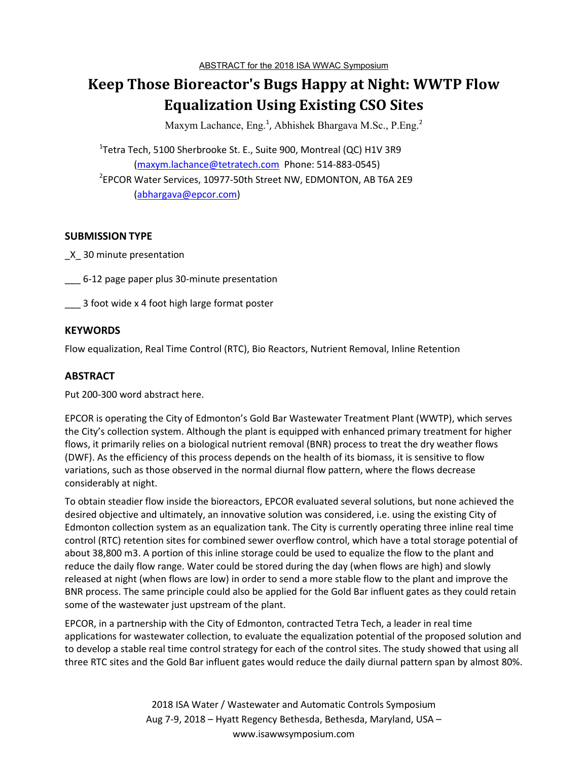# **Keep Those Bioreactor's Bugs Happy at Night: WWTP Flow Equalization Using Existing CSO Sites**

Maxym Lachance, Eng.<sup>1</sup>, Abhishek Bhargava M.Sc., P.Eng.<sup>2</sup>

<sup>1</sup>Tetra Tech, 5100 Sherbrooke St. E., Suite 900, Montreal (QC) H1V 3R9 (maxym.lachance@tetratech.com Phone: 514-883-0545) 2 EPCOR Water Services, 10977-50th Street NW, EDMONTON, AB T6A 2E9 (abhargava@epcor.com)

#### **SUBMISSION TYPE**

\_X\_ 30 minute presentation

\_\_\_ 6-12 page paper plus 30-minute presentation

\_\_\_ 3 foot wide x 4 foot high large format poster

#### **KEYWORDS**

Flow equalization, Real Time Control (RTC), Bio Reactors, Nutrient Removal, Inline Retention

### **ABSTRACT**

Put 200-300 word abstract here.

EPCOR is operating the City of Edmonton's Gold Bar Wastewater Treatment Plant (WWTP), which serves the City's collection system. Although the plant is equipped with enhanced primary treatment for higher flows, it primarily relies on a biological nutrient removal (BNR) process to treat the dry weather flows (DWF). As the efficiency of this process depends on the health of its biomass, it is sensitive to flow variations, such as those observed in the normal diurnal flow pattern, where the flows decrease considerably at night.

To obtain steadier flow inside the bioreactors, EPCOR evaluated several solutions, but none achieved the desired objective and ultimately, an innovative solution was considered, i.e. using the existing City of Edmonton collection system as an equalization tank. The City is currently operating three inline real time control (RTC) retention sites for combined sewer overflow control, which have a total storage potential of about 38,800 m3. A portion of this inline storage could be used to equalize the flow to the plant and reduce the daily flow range. Water could be stored during the day (when flows are high) and slowly released at night (when flows are low) in order to send a more stable flow to the plant and improve the BNR process. The same principle could also be applied for the Gold Bar influent gates as they could retain some of the wastewater just upstream of the plant.

EPCOR, in a partnership with the City of Edmonton, contracted Tetra Tech, a leader in real time applications for wastewater collection, to evaluate the equalization potential of the proposed solution and to develop a stable real time control strategy for each of the control sites. The study showed that using all three RTC sites and the Gold Bar influent gates would reduce the daily diurnal pattern span by almost 80%.

> 2018 ISA Water / Wastewater and Automatic Controls Symposium Aug 7-9, 2018 – Hyatt Regency Bethesda, Bethesda, Maryland, USA – www.isawwsymposium.com